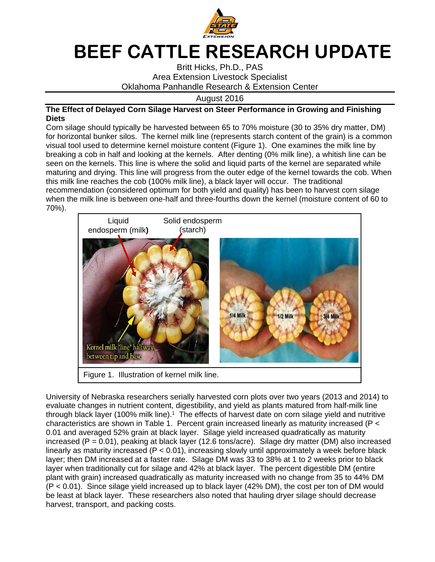

## **BEEF CATTLE RESEARCH UPDATE**

Britt Hicks, Ph.D., PAS Area Extension Livestock Specialist Oklahoma Panhandle Research & Extension Center

August 2016

## **The Effect of Delayed Corn Silage Harvest on Steer Performance in Growing and Finishing Diets**

Corn silage should typically be harvested between 65 to 70% moisture (30 to 35% dry matter, DM) for horizontal bunker silos. The kernel milk line (represents starch content of the grain) is a common visual tool used to determine kernel moisture content (Figure 1). One examines the milk line by breaking a cob in half and looking at the kernels. After denting (0% milk line), a whitish line can be seen on the kernels. This line is where the solid and liquid parts of the kernel are separated while maturing and drying. This line will progress from the outer edge of the kernel towards the cob. When this milk line reaches the cob (100% milk line), a black layer will occur. The traditional recommendation (considered optimum for both yield and quality) has been to harvest corn silage when the milk line is between one-half and three-fourths down the kernel (moisture content of 60 to 70%).



University of Nebraska researchers serially harvested corn plots over two years (2013 and 2014) to evaluate changes in nutrient content, digestibility, and yield as plants matured from half-milk line through black layer (100% milk line).<sup>1</sup> The effects of harvest date on corn silage yield and nutritive characteristics are shown in Table 1. Percent grain increased linearly as maturity increased (P < 0.01 and averaged 52% grain at black layer. Silage yield increased quadratically as maturity increased (P = 0.01), peaking at black layer (12.6 tons/acre). Silage dry matter (DM) also increased linearly as maturity increased (P < 0.01), increasing slowly until approximately a week before black layer; then DM increased at a faster rate. Silage DM was 33 to 38% at 1 to 2 weeks prior to black layer when traditionally cut for silage and 42% at black layer. The percent digestible DM (entire plant with grain) increased quadratically as maturity increased with no change from 35 to 44% DM (P < 0.01). Since silage yield increased up to black layer (42% DM), the cost per ton of DM would be least at black layer. These researchers also noted that hauling dryer silage should decrease harvest, transport, and packing costs.